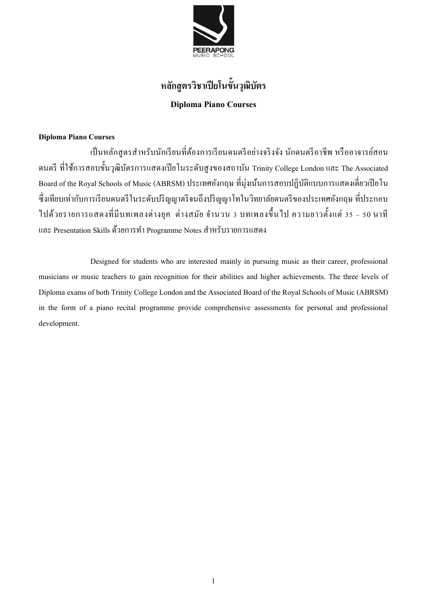

## **หลกัสูตรวิชาเปียโนข้นัวุฒิบัตร Diploma Piano Courses**

#### **Diploma Piano Courses**

เป็นหลักสูตรสำหรับนักเรียนที่ต้องการเรียนดนตรีอย่างจริงจัง นักดนตรีอาชีพ หรืออาจารย์สอน ดนตรี ที่ใช้การสอบขั้นวุฒิบัตรการแสดงเปียโนระดับสูงของสถาบัน Trinity College London และ The Associated Board of the Royal Schools of Music (ABRSM) ประเทศองักฤษ ที่มุ่งเนน้กำรสอบปฏิบตัิแบบกำรแสดงเดี่ยวเปียโน ี่ซึ่งเทียบเท่ากับการเรียนดนตรีในระดับปริญญาตรีจนถึงปริญญาโทในวิทยาลัยดนตรีของประเทศอังกฤษ ที่ประกอบ ไปด้วยรายการแสดงที่มีบทเพลงต่างยุค ต่างสมัย จำนวน 3 บทเพลงขึ้นไป ความยาวตั้งแต่ 35 – 50 นาที และ Presentation Skills ด้วยการทำ Programme Notes สำหรับรายการแสดง

Designed for students who are interested mainly in pursuing music as their career, professional musicians or music teachers to gain recognition for their abilities and higher achievements. The three levels of Diploma exams of both Trinity College London and the Associated Board of the Royal Schools of Music (ABRSM) in the form of a piano recital programme provide comprehensive assessments for personal and professional development.